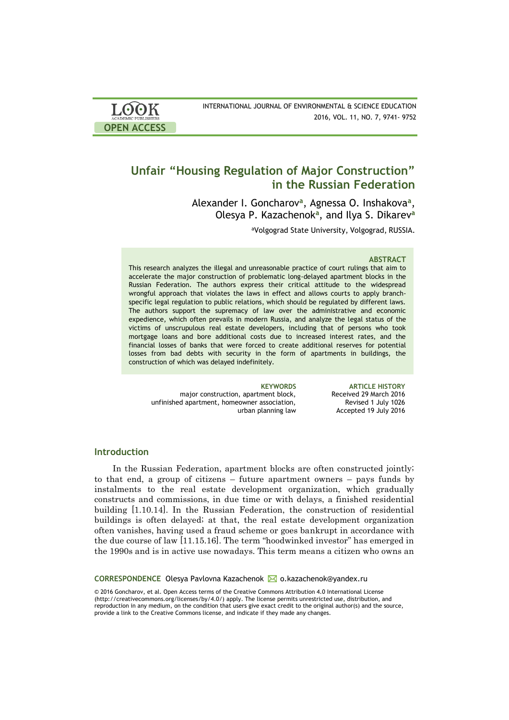| <b>LOOK</b>         | INTERNATIONAL JOURNAL OF ENVIRONMENTAL & SCIENCE EDUCATION |
|---------------------|------------------------------------------------------------|
| ACADEMIC PUBLISHERS | 2016, VOL. 11, NO. 7, 9741- 9752                           |
| <b>OPEN ACCESS</b>  |                                                            |

# **Unfair "Housing Regulation of Major Construction" in the Russian Federation**

Alexander I. Goncharov**<sup>a</sup>** , Agnessa O. Inshakova**<sup>a</sup>** , Olesya P. Kazachenok**<sup>a</sup>** , and Ilya S. Dikarev**<sup>a</sup>**

<sup>a</sup>Volgograd State University, Volgograd, RUSSIA.

# **ABSTRACT**

This research analyzes the illegal and unreasonable practice of court rulings that aim to accelerate the major construction of problematic long-delayed apartment blocks in the Russian Federation. The authors express their critical attitude to the widespread wrongful approach that violates the laws in effect and allows courts to apply branchspecific legal regulation to public relations, which should be regulated by different laws. The authors support the supremacy of law over the administrative and economic expedience, which often prevails in modern Russia, and analyze the legal status of the victims of unscrupulous real estate developers, including that of persons who took mortgage loans and bore additional costs due to increased interest rates, and the financial losses of banks that were forced to create additional reserves for potential losses from bad debts with security in the form of apartments in buildings, the construction of which was delayed indefinitely.

major construction, apartment block, unfinished apartment, homeowner association, urban planning law

**KEYWORDS ARTICLE HISTORY** Received 29 March 2016 Revised 1 July 1026 Accepted 19 July 2016

# **Introduction**

In the Russian Federation, apartment blocks are often constructed jointly; to that end, a group of citizens – future apartment owners – pays funds by instalments to the real estate development organization, which gradually constructs and commissions, in due time or with delays, a finished residential building [1.10.14]. In the Russian Federation, the construction of residential buildings is often delayed; at that, the real estate development organization often vanishes, having used a fraud scheme or goes bankrupt in accordance with the due course of law [11.15.16]. The term "hoodwinked investor" has emerged in the 1990s and is in active use nowadays. This term means a citizen who owns an

**CORRESPONDENCE** Olesya Pavlovna Kazachenok **M** o.kazachenok@yandex.ru

© 2016 Goncharov, et al. Open Access terms of the Creative Commons Attribution 4.0 International License (http://creativecommons.org/licenses/by/4.0/) apply. The license permits unrestricted use, distribution, and reproduction in any medium, on the condition that users give exact credit to the original author(s) and the source, provide a link to the Creative Commons license, and indicate if they made any changes.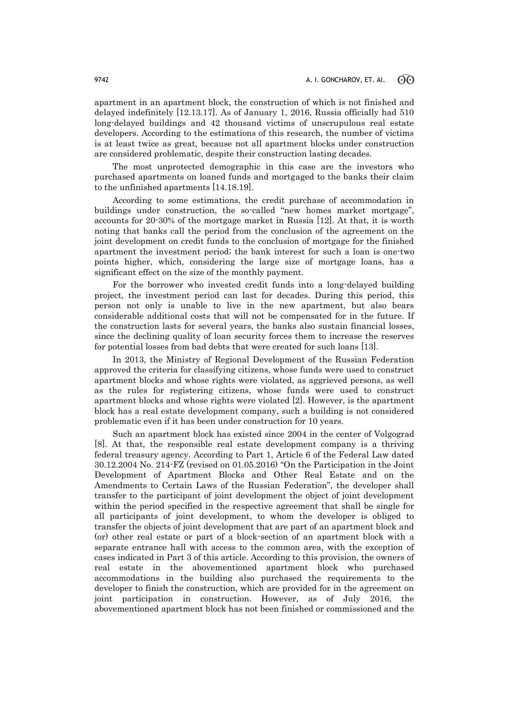apartment in an apartment block, the construction of which is not finished and delayed indefinitely [12.13.17]. As of January 1, 2016, Russia officially had 510 long-delayed buildings and 42 thousand victims of unscrupulous real estate developers. According to the estimations of this research, the number of victims is at least twice as great, because not all apartment blocks under construction are considered problematic, despite their construction lasting decades.

The most unprotected demographic in this case are the investors who purchased apartments on loaned funds and mortgaged to the banks their claim to the unfinished apartments [14.18.19].

According to some estimations, the credit purchase of accommodation in buildings under construction, the so-called "new homes market mortgage", accounts for 20-30% of the mortgage market in Russia [12]. At that, it is worth noting that banks call the period from the conclusion of the agreement on the joint development on credit funds to the conclusion of mortgage for the finished apartment the investment period; the bank interest for such a loan is one-two points higher, which, considering the large size of mortgage loans, has a significant effect on the size of the monthly payment.

For the borrower who invested credit funds into a long-delayed building project, the investment period can last for decades. During this period, this person not only is unable to live in the new apartment, but also bears considerable additional costs that will not be compensated for in the future. If the construction lasts for several years, the banks also sustain financial losses, since the declining quality of loan security forces them to increase the reserves for potential losses from bad debts that were created for such loans [13].

In 2013, the Ministry of Regional Development of the Russian Federation approved the criteria for classifying citizens, whose funds were used to construct apartment blocks and whose rights were violated, as aggrieved persons, as well as the rules for registering citizens, whose funds were used to construct apartment blocks and whose rights were violated [2]. However, is the apartment block has a real estate development company, such a building is not considered problematic even if it has been under construction for 10 years.

Such an apartment block has existed since 2004 in the center of Volgograd [8]. At that, the responsible real estate development company is a thriving federal treasury agency. According to Part 1, Article 6 of the Federal Law dated 30.12.2004 No. 214-FZ (revised on 01.05.2016) "On the Participation in the Joint Development of Apartment Blocks and Other Real Estate and on the Amendments to Certain Laws of the Russian Federation", the developer shall transfer to the participant of joint development the object of joint development within the period specified in the respective agreement that shall be single for all participants of joint development, to whom the developer is obliged to transfer the objects of joint development that are part of an apartment block and (or) other real estate or part of a block-section of an apartment block with a separate entrance hall with access to the common area, with the exception of cases indicated in Part 3 of this article. According to this provision, the owners of real estate in the abovementioned apartment block who purchased accommodations in the building also purchased the requirements to the developer to finish the construction, which are provided for in the agreement on joint participation in construction. However, as of July 2016, the abovementioned apartment block has not been finished or commissioned and the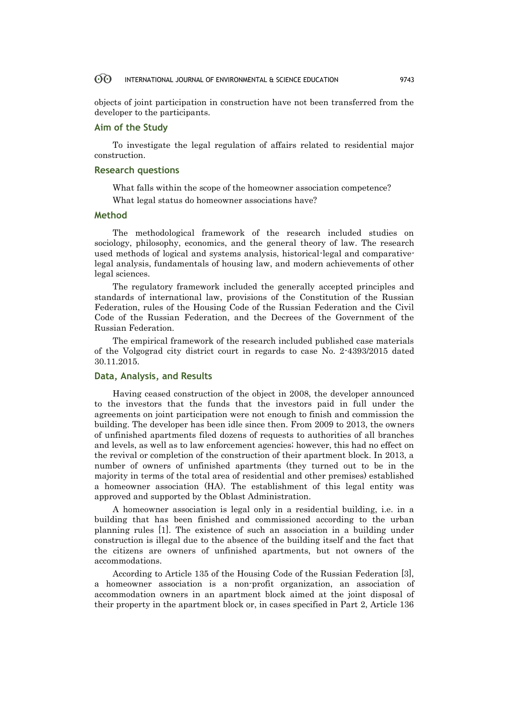objects of joint participation in construction have not been transferred from the developer to the participants.

# **Aim of the Study**

To investigate the legal regulation of affairs related to residential major construction.

### **Research questions**

What falls within the scope of the homeowner association competence?

What legal status do homeowner associations have?

# **Method**

The methodological framework of the research included studies on sociology, philosophy, economics, and the general theory of law. The research used methods of logical and systems analysis, historical-legal and comparativelegal analysis, fundamentals of housing law, and modern achievements of other legal sciences.

The regulatory framework included the generally accepted principles and standards of international law, provisions of the Constitution of the Russian Federation, rules of the Housing Code of the Russian Federation and the Civil Code of the Russian Federation, and the Decrees of the Government of the Russian Federation.

The empirical framework of the research included published case materials of the Volgograd city district court in regards to case No. 2-4393/2015 dated 30.11.2015.

### **Data, Analysis, and Results**

Having ceased construction of the object in 2008, the developer announced to the investors that the funds that the investors paid in full under the agreements on joint participation were not enough to finish and commission the building. The developer has been idle since then. From 2009 to 2013, the owners of unfinished apartments filed dozens of requests to authorities of all branches and levels, as well as to law enforcement agencies; however, this had no effect on the revival or completion of the construction of their apartment block. In 2013, a number of owners of unfinished apartments (they turned out to be in the majority in terms of the total area of residential and other premises) established a homeowner association (HA). The establishment of this legal entity was approved and supported by the Oblast Administration.

A homeowner association is legal only in a residential building, i.e. in a building that has been finished and commissioned according to the urban planning rules [1]. The existence of such an association in a building under construction is illegal due to the absence of the building itself and the fact that the citizens are owners of unfinished apartments, but not owners of the accommodations.

According to Article 135 of the Housing Code of the Russian Federation [3], a homeowner association is a non-profit organization, an association of accommodation owners in an apartment block aimed at the joint disposal of their property in the apartment block or, in cases specified in Part 2, Article 136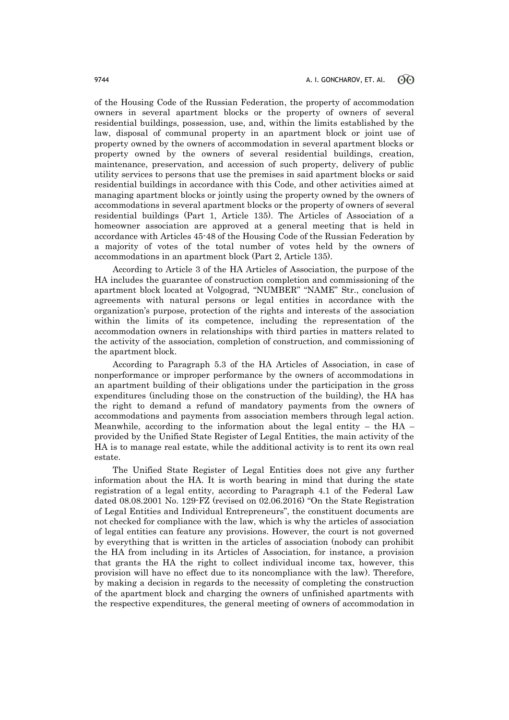of the Housing Code of the Russian Federation, the property of accommodation owners in several apartment blocks or the property of owners of several residential buildings, possession, use, and, within the limits established by the law, disposal of communal property in an apartment block or joint use of property owned by the owners of accommodation in several apartment blocks or property owned by the owners of several residential buildings, creation, maintenance, preservation, and accession of such property, delivery of public utility services to persons that use the premises in said apartment blocks or said residential buildings in accordance with this Code, and other activities aimed at managing apartment blocks or jointly using the property owned by the owners of accommodations in several apartment blocks or the property of owners of several residential buildings (Part 1, Article 135). The Articles of Association of a homeowner association are approved at a general meeting that is held in accordance with Articles 45-48 of the Housing Code of the Russian Federation by a majority of votes of the total number of votes held by the owners of accommodations in an apartment block (Part 2, Article 135).

According to Article 3 of the HA Articles of Association, the purpose of the HA includes the guarantee of construction completion and commissioning of the apartment block located at Volgograd, "NUMBER" "NAME" Str., conclusion of agreements with natural persons or legal entities in accordance with the organization's purpose, protection of the rights and interests of the association within the limits of its competence, including the representation of the accommodation owners in relationships with third parties in matters related to the activity of the association, completion of construction, and commissioning of the apartment block.

According to Paragraph 5.3 of the HA Articles of Association, in case of nonperformance or improper performance by the owners of accommodations in an apartment building of their obligations under the participation in the gross expenditures (including those on the construction of the building), the HA has the right to demand a refund of mandatory payments from the owners of accommodations and payments from association members through legal action. Meanwhile, according to the information about the legal entity – the  $HA$ provided by the Unified State Register of Legal Entities, the main activity of the HA is to manage real estate, while the additional activity is to rent its own real estate.

The Unified State Register of Legal Entities does not give any further information about the HA. It is worth bearing in mind that during the state registration of a legal entity, according to Paragraph 4.1 of the Federal Law dated 08.08.2001 No. 129-FZ (revised on 02.06.2016) "On the State Registration of Legal Entities and Individual Entrepreneurs", the constituent documents are not checked for compliance with the law, which is why the articles of association of legal entities can feature any provisions. However, the court is not governed by everything that is written in the articles of association (nobody can prohibit the HA from including in its Articles of Association, for instance, a provision that grants the HA the right to collect individual income tax, however, this provision will have no effect due to its noncompliance with the law). Therefore, by making a decision in regards to the necessity of completing the construction of the apartment block and charging the owners of unfinished apartments with the respective expenditures, the general meeting of owners of accommodation in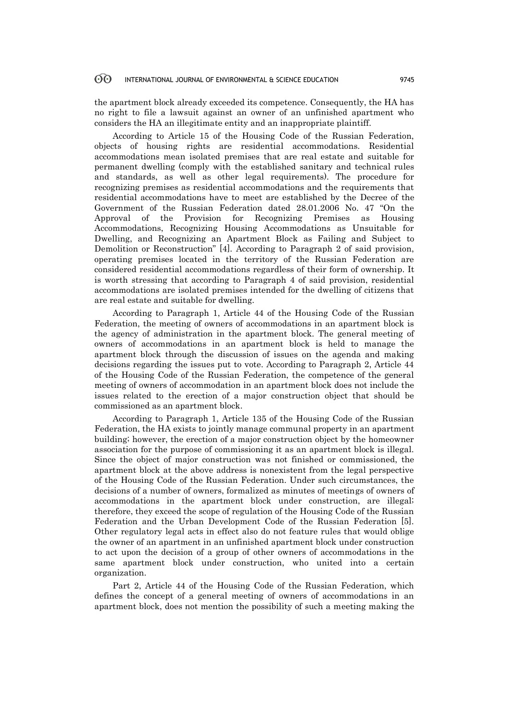the apartment block already exceeded its competence. Consequently, the HA has no right to file a lawsuit against an owner of an unfinished apartment who considers the HA an illegitimate entity and an inappropriate plaintiff.

According to Article 15 of the Housing Code of the Russian Federation, objects of housing rights are residential accommodations. Residential accommodations mean isolated premises that are real estate and suitable for permanent dwelling (comply with the established sanitary and technical rules and standards, as well as other legal requirements). The procedure for recognizing premises as residential accommodations and the requirements that residential accommodations have to meet are established by the Decree of the Government of the Russian Federation dated 28.01.2006 No. 47 "On the Approval of the Provision for Recognizing Premises as Housing Accommodations, Recognizing Housing Accommodations as Unsuitable for Dwelling, and Recognizing an Apartment Block as Failing and Subject to Demolition or Reconstruction" [4]. According to Paragraph 2 of said provision, operating premises located in the territory of the Russian Federation are considered residential accommodations regardless of their form of ownership. It is worth stressing that according to Paragraph 4 of said provision, residential accommodations are isolated premises intended for the dwelling of citizens that are real estate and suitable for dwelling.

According to Paragraph 1, Article 44 of the Housing Code of the Russian Federation, the meeting of owners of accommodations in an apartment block is the agency of administration in the apartment block. The general meeting of owners of accommodations in an apartment block is held to manage the apartment block through the discussion of issues on the agenda and making decisions regarding the issues put to vote. According to Paragraph 2, Article 44 of the Housing Code of the Russian Federation, the competence of the general meeting of owners of accommodation in an apartment block does not include the issues related to the erection of a major construction object that should be commissioned as an apartment block.

According to Paragraph 1, Article 135 of the Housing Code of the Russian Federation, the HA exists to jointly manage communal property in an apartment building; however, the erection of a major construction object by the homeowner association for the purpose of commissioning it as an apartment block is illegal. Since the object of major construction was not finished or commissioned, the apartment block at the above address is nonexistent from the legal perspective of the Housing Code of the Russian Federation. Under such circumstances, the decisions of a number of owners, formalized as minutes of meetings of owners of accommodations in the apartment block under construction, are illegal; therefore, they exceed the scope of regulation of the Housing Code of the Russian Federation and the Urban Development Code of the Russian Federation [5]. Other regulatory legal acts in effect also do not feature rules that would oblige the owner of an apartment in an unfinished apartment block under construction to act upon the decision of a group of other owners of accommodations in the same apartment block under construction, who united into a certain organization.

Part 2, Article 44 of the Housing Code of the Russian Federation, which defines the concept of a general meeting of owners of accommodations in an apartment block, does not mention the possibility of such a meeting making the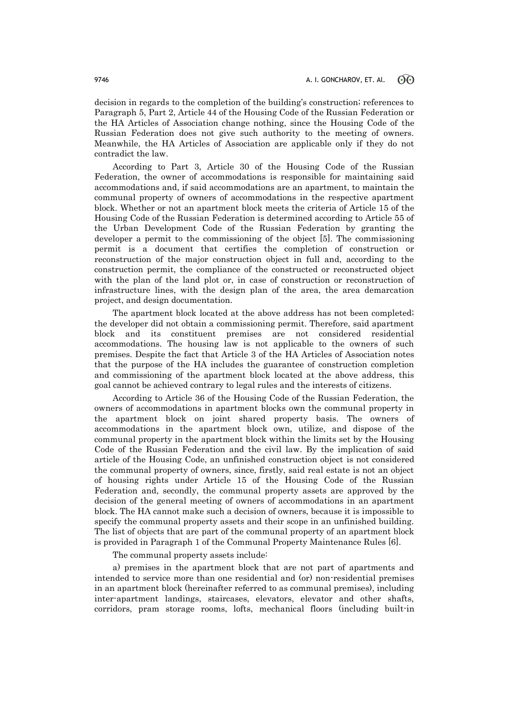decision in regards to the completion of the building's construction; references to Paragraph 5, Part 2, Article 44 of the Housing Code of the Russian Federation or the HA Articles of Association change nothing, since the Housing Code of the Russian Federation does not give such authority to the meeting of owners. Meanwhile, the HA Articles of Association are applicable only if they do not contradict the law.

According to Part 3, Article 30 of the Housing Code of the Russian Federation, the owner of accommodations is responsible for maintaining said accommodations and, if said accommodations are an apartment, to maintain the communal property of owners of accommodations in the respective apartment block. Whether or not an apartment block meets the criteria of Article 15 of the Housing Code of the Russian Federation is determined according to Article 55 of the Urban Development Code of the Russian Federation by granting the developer a permit to the commissioning of the object [5]. The commissioning permit is a document that certifies the completion of construction or reconstruction of the major construction object in full and, according to the construction permit, the compliance of the constructed or reconstructed object with the plan of the land plot or, in case of construction or reconstruction of infrastructure lines, with the design plan of the area, the area demarcation project, and design documentation.

The apartment block located at the above address has not been completed; the developer did not obtain a commissioning permit. Therefore, said apartment block and its constituent premises are not considered residential accommodations. The housing law is not applicable to the owners of such premises. Despite the fact that Article 3 of the HA Articles of Association notes that the purpose of the HA includes the guarantee of construction completion and commissioning of the apartment block located at the above address, this goal cannot be achieved contrary to legal rules and the interests of citizens.

According to Article 36 of the Housing Code of the Russian Federation, the owners of accommodations in apartment blocks own the communal property in the apartment block on joint shared property basis. The owners of accommodations in the apartment block own, utilize, and dispose of the communal property in the apartment block within the limits set by the Housing Code of the Russian Federation and the civil law. By the implication of said article of the Housing Code, an unfinished construction object is not considered the communal property of owners, since, firstly, said real estate is not an object of housing rights under Article 15 of the Housing Code of the Russian Federation and, secondly, the communal property assets are approved by the decision of the general meeting of owners of accommodations in an apartment block. The HA cannot make such a decision of owners, because it is impossible to specify the communal property assets and their scope in an unfinished building. The list of objects that are part of the communal property of an apartment block is provided in Paragraph 1 of the Communal Property Maintenance Rules [6].

The communal property assets include:

a) premises in the apartment block that are not part of apartments and intended to service more than one residential and (or) non-residential premises in an apartment block (hereinafter referred to as communal premises), including inter-apartment landings, staircases, elevators, elevator and other shafts, corridors, pram storage rooms, lofts, mechanical floors (including built-in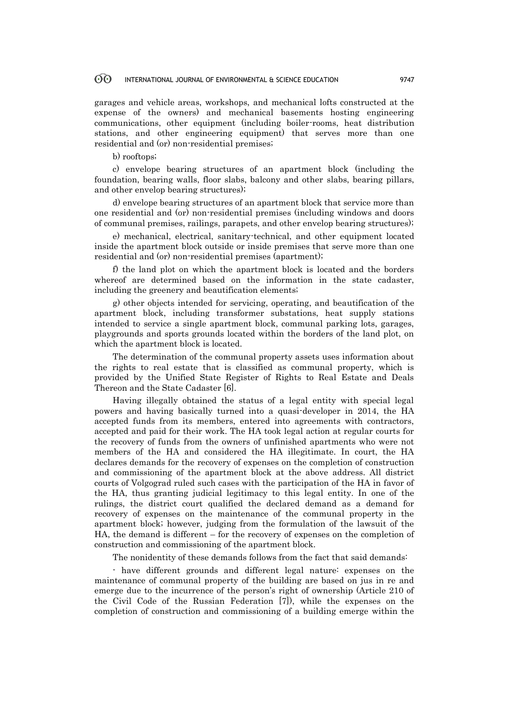garages and vehicle areas, workshops, and mechanical lofts constructed at the expense of the owners) and mechanical basements hosting engineering communications, other equipment (including boiler-rooms, heat distribution stations, and other engineering equipment) that serves more than one residential and (or) non-residential premises;

b) rooftops;

c) envelope bearing structures of an apartment block (including the foundation, bearing walls, floor slabs, balcony and other slabs, bearing pillars, and other envelop bearing structures);

d) envelope bearing structures of an apartment block that service more than one residential and (or) non-residential premises (including windows and doors of communal premises, railings, parapets, and other envelop bearing structures);

e) mechanical, electrical, sanitary-technical, and other equipment located inside the apartment block outside or inside premises that serve more than one residential and (or) non-residential premises (apartment);

f) the land plot on which the apartment block is located and the borders whereof are determined based on the information in the state cadaster, including the greenery and beautification elements;

g) other objects intended for servicing, operating, and beautification of the apartment block, including transformer substations, heat supply stations intended to service a single apartment block, communal parking lots, garages, playgrounds and sports grounds located within the borders of the land plot, on which the apartment block is located.

The determination of the communal property assets uses information about the rights to real estate that is classified as communal property, which is provided by the Unified State Register of Rights to Real Estate and Deals Thereon and the State Cadaster [6].

Having illegally obtained the status of a legal entity with special legal powers and having basically turned into a quasi-developer in 2014, the HA accepted funds from its members, entered into agreements with contractors, accepted and paid for their work. The HA took legal action at regular courts for the recovery of funds from the owners of unfinished apartments who were not members of the HA and considered the HA illegitimate. In court, the HA declares demands for the recovery of expenses on the completion of construction and commissioning of the apartment block at the above address. All district courts of Volgograd ruled such cases with the participation of the HA in favor of the HA, thus granting judicial legitimacy to this legal entity. In one of the rulings, the district court qualified the declared demand as a demand for recovery of expenses on the maintenance of the communal property in the apartment block; however, judging from the formulation of the lawsuit of the HA, the demand is different – for the recovery of expenses on the completion of construction and commissioning of the apartment block.

The nonidentity of these demands follows from the fact that said demands:

- have different grounds and different legal nature: expenses on the maintenance of communal property of the building are based on jus in re and emerge due to the incurrence of the person's right of ownership (Article 210 of the Civil Code of the Russian Federation [7]), while the expenses on the completion of construction and commissioning of a building emerge within the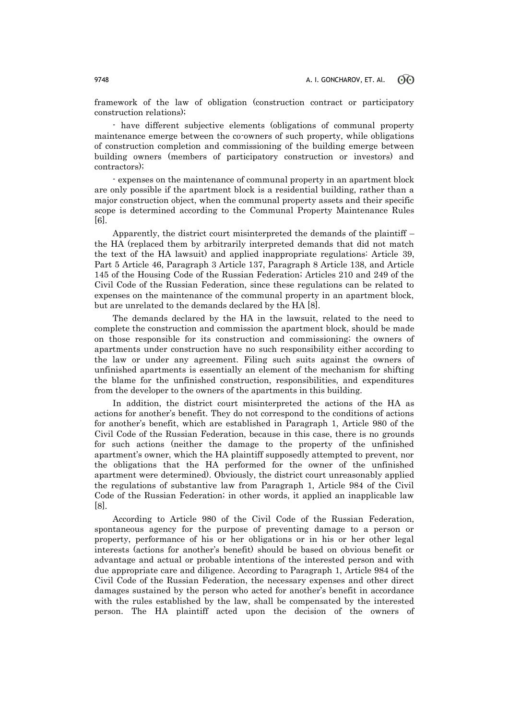framework of the law of obligation (construction contract or participatory construction relations);

- have different subjective elements (obligations of communal property maintenance emerge between the co-owners of such property, while obligations of construction completion and commissioning of the building emerge between building owners (members of participatory construction or investors) and contractors);

- expenses on the maintenance of communal property in an apartment block are only possible if the apartment block is a residential building, rather than a major construction object, when the communal property assets and their specific scope is determined according to the Communal Property Maintenance Rules [6].

Apparently, the district court misinterpreted the demands of the plaintiff – the HA (replaced them by arbitrarily interpreted demands that did not match the text of the HA lawsuit) and applied inappropriate regulations: Article 39, Part 5 Article 46, Paragraph 3 Article 137, Paragraph 8 Article 138, and Article 145 of the Housing Code of the Russian Federation; Articles 210 and 249 of the Civil Code of the Russian Federation, since these regulations can be related to expenses on the maintenance of the communal property in an apartment block, but are unrelated to the demands declared by the HA [8].

The demands declared by the HA in the lawsuit, related to the need to complete the construction and commission the apartment block, should be made on those responsible for its construction and commissioning; the owners of apartments under construction have no such responsibility either according to the law or under any agreement. Filing such suits against the owners of unfinished apartments is essentially an element of the mechanism for shifting the blame for the unfinished construction, responsibilities, and expenditures from the developer to the owners of the apartments in this building.

In addition, the district court misinterpreted the actions of the HA as actions for another's benefit. They do not correspond to the conditions of actions for another's benefit, which are established in Paragraph 1, Article 980 of the Civil Code of the Russian Federation, because in this case, there is no grounds for such actions (neither the damage to the property of the unfinished apartment's owner, which the HA plaintiff supposedly attempted to prevent, nor the obligations that the HA performed for the owner of the unfinished apartment were determined). Obviously, the district court unreasonably applied the regulations of substantive law from Paragraph 1, Article 984 of the Civil Code of the Russian Federation; in other words, it applied an inapplicable law [8].

According to Article 980 of the Civil Code of the Russian Federation, spontaneous agency for the purpose of preventing damage to a person or property, performance of his or her obligations or in his or her other legal interests (actions for another's benefit) should be based on obvious benefit or advantage and actual or probable intentions of the interested person and with due appropriate care and diligence. According to Paragraph 1, Article 984 of the Civil Code of the Russian Federation, the necessary expenses and other direct damages sustained by the person who acted for another's benefit in accordance with the rules established by the law, shall be compensated by the interested person. The HA plaintiff acted upon the decision of the owners of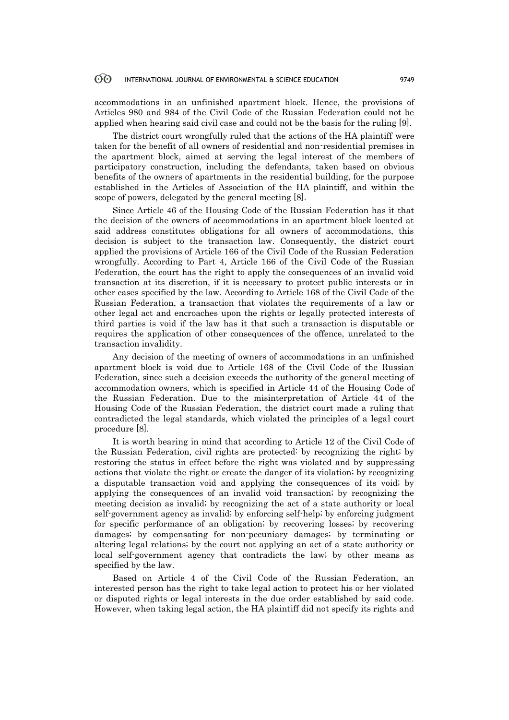accommodations in an unfinished apartment block. Hence, the provisions of Articles 980 and 984 of the Civil Code of the Russian Federation could not be applied when hearing said civil case and could not be the basis for the ruling [9].

The district court wrongfully ruled that the actions of the HA plaintiff were taken for the benefit of all owners of residential and non-residential premises in the apartment block, aimed at serving the legal interest of the members of participatory construction, including the defendants, taken based on obvious benefits of the owners of apartments in the residential building, for the purpose established in the Articles of Association of the HA plaintiff, and within the scope of powers, delegated by the general meeting [8].

Since Article 46 of the Housing Code of the Russian Federation has it that the decision of the owners of accommodations in an apartment block located at said address constitutes obligations for all owners of accommodations, this decision is subject to the transaction law. Consequently, the district court applied the provisions of Article 166 of the Civil Code of the Russian Federation wrongfully. According to Part 4, Article 166 of the Civil Code of the Russian Federation, the court has the right to apply the consequences of an invalid void transaction at its discretion, if it is necessary to protect public interests or in other cases specified by the law. According to Article 168 of the Civil Code of the Russian Federation, a transaction that violates the requirements of a law or other legal act and encroaches upon the rights or legally protected interests of third parties is void if the law has it that such a transaction is disputable or requires the application of other consequences of the offence, unrelated to the transaction invalidity.

Any decision of the meeting of owners of accommodations in an unfinished apartment block is void due to Article 168 of the Civil Code of the Russian Federation, since such a decision exceeds the authority of the general meeting of accommodation owners, which is specified in Article 44 of the Housing Code of the Russian Federation. Due to the misinterpretation of Article 44 of the Housing Code of the Russian Federation, the district court made a ruling that contradicted the legal standards, which violated the principles of a legal court procedure [8].

It is worth bearing in mind that according to Article 12 of the Civil Code of the Russian Federation, civil rights are protected: by recognizing the right; by restoring the status in effect before the right was violated and by suppressing actions that violate the right or create the danger of its violation; by recognizing a disputable transaction void and applying the consequences of its void; by applying the consequences of an invalid void transaction; by recognizing the meeting decision as invalid; by recognizing the act of a state authority or local self-government agency as invalid; by enforcing self-help; by enforcing judgment for specific performance of an obligation; by recovering losses; by recovering damages; by compensating for non-pecuniary damages; by terminating or altering legal relations; by the court not applying an act of a state authority or local self-government agency that contradicts the law; by other means as specified by the law.

Based on Article 4 of the Civil Code of the Russian Federation, an interested person has the right to take legal action to protect his or her violated or disputed rights or legal interests in the due order established by said code. However, when taking legal action, the HA plaintiff did not specify its rights and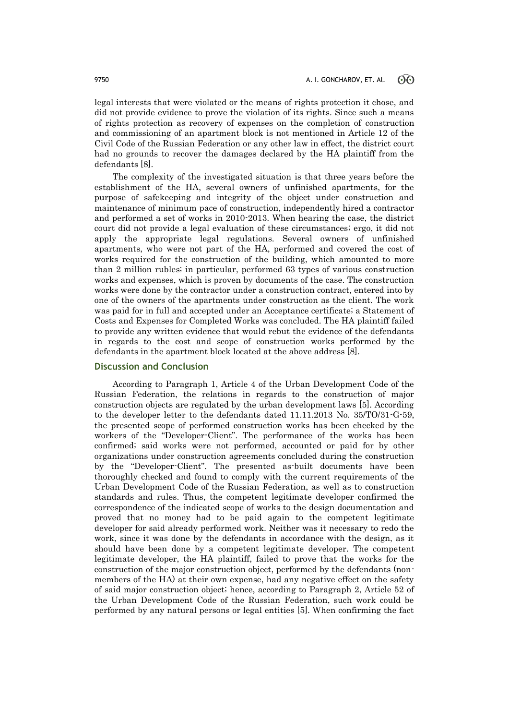legal interests that were violated or the means of rights protection it chose, and did not provide evidence to prove the violation of its rights. Since such a means of rights protection as recovery of expenses on the completion of construction and commissioning of an apartment block is not mentioned in Article 12 of the Civil Code of the Russian Federation or any other law in effect, the district court had no grounds to recover the damages declared by the HA plaintiff from the defendants [8].

The complexity of the investigated situation is that three years before the establishment of the HA, several owners of unfinished apartments, for the purpose of safekeeping and integrity of the object under construction and maintenance of minimum pace of construction, independently hired a contractor and performed a set of works in 2010-2013. When hearing the case, the district court did not provide a legal evaluation of these circumstances; ergo, it did not apply the appropriate legal regulations. Several owners of unfinished apartments, who were not part of the HA, performed and covered the cost of works required for the construction of the building, which amounted to more than 2 million rubles; in particular, performed 63 types of various construction works and expenses, which is proven by documents of the case. The construction works were done by the contractor under a construction contract, entered into by one of the owners of the apartments under construction as the client. The work was paid for in full and accepted under an Acceptance certificate; a Statement of Costs and Expenses for Completed Works was concluded. The HA plaintiff failed to provide any written evidence that would rebut the evidence of the defendants in regards to the cost and scope of construction works performed by the defendants in the apartment block located at the above address [8].

# **Discussion and Conclusion**

According to Paragraph 1, Article 4 of the Urban Development Code of the Russian Federation, the relations in regards to the construction of major construction objects are regulated by the urban development laws [5]. According to the developer letter to the defendants dated 11.11.2013 No. 35/TO/31-G-59, the presented scope of performed construction works has been checked by the workers of the "Developer-Client". The performance of the works has been confirmed; said works were not performed, accounted or paid for by other organizations under construction agreements concluded during the construction by the "Developer-Client". The presented as-built documents have been thoroughly checked and found to comply with the current requirements of the Urban Development Code of the Russian Federation, as well as to construction standards and rules. Thus, the competent legitimate developer confirmed the correspondence of the indicated scope of works to the design documentation and proved that no money had to be paid again to the competent legitimate developer for said already performed work. Neither was it necessary to redo the work, since it was done by the defendants in accordance with the design, as it should have been done by a competent legitimate developer. The competent legitimate developer, the HA plaintiff, failed to prove that the works for the construction of the major construction object, performed by the defendants (nonmembers of the HA) at their own expense, had any negative effect on the safety of said major construction object; hence, according to Paragraph 2, Article 52 of the Urban Development Code of the Russian Federation, such work could be performed by any natural persons or legal entities [5]. When confirming the fact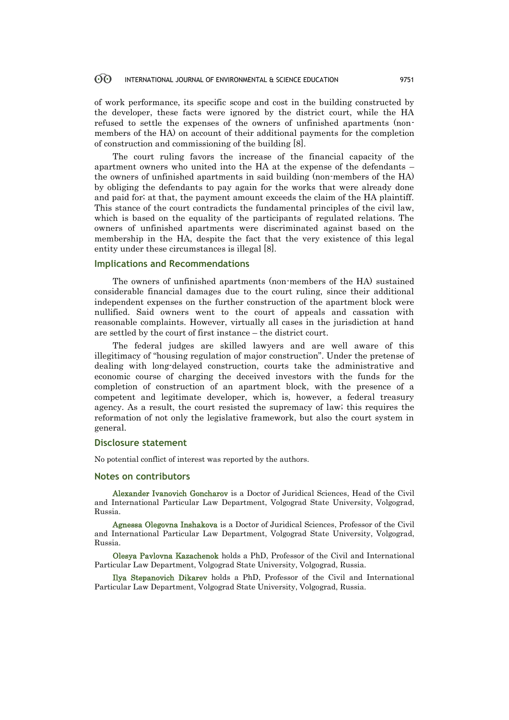of work performance, its specific scope and cost in the building constructed by the developer, these facts were ignored by the district court, while the HA refused to settle the expenses of the owners of unfinished apartments (nonmembers of the HA) on account of their additional payments for the completion of construction and commissioning of the building [8].

The court ruling favors the increase of the financial capacity of the apartment owners who united into the HA at the expense of the defendants – the owners of unfinished apartments in said building (non-members of the HA) by obliging the defendants to pay again for the works that were already done and paid for; at that, the payment amount exceeds the claim of the HA plaintiff. This stance of the court contradicts the fundamental principles of the civil law, which is based on the equality of the participants of regulated relations. The owners of unfinished apartments were discriminated against based on the membership in the HA, despite the fact that the very existence of this legal entity under these circumstances is illegal [8].

# **Implications and Recommendations**

The owners of unfinished apartments (non-members of the HA) sustained considerable financial damages due to the court ruling, since their additional independent expenses on the further construction of the apartment block were nullified. Said owners went to the court of appeals and cassation with reasonable complaints. However, virtually all cases in the jurisdiction at hand are settled by the court of first instance – the district court.

The federal judges are skilled lawyers and are well aware of this illegitimacy of "housing regulation of major construction". Under the pretense of dealing with long-delayed construction, courts take the administrative and economic course of charging the deceived investors with the funds for the completion of construction of an apartment block, with the presence of a competent and legitimate developer, which is, however, a federal treasury agency. As a result, the court resisted the supremacy of law; this requires the reformation of not only the legislative framework, but also the court system in general.

# **Disclosure statement**

No potential conflict of interest was reported by the authors.

### **Notes on contributors**

Alexander Ivanovich Goncharov is a Doctor of Juridical Sciences, Head of the Civil and International Particular Law Department, Volgograd State University, Volgograd, Russia.

Agnessa Olegovna Inshakova is a Doctor of Juridical Sciences, Professor of the Civil and International Particular Law Department, Volgograd State University, Volgograd, Russia.

Olesya Pavlovna Kazachenok holds a PhD, Professor of the Civil and International Particular Law Department, Volgograd State University, Volgograd, Russia.

Ilya Stepanovich Dikarev holds a PhD, Professor of the Civil and International Particular Law Department, Volgograd State University, Volgograd, Russia.